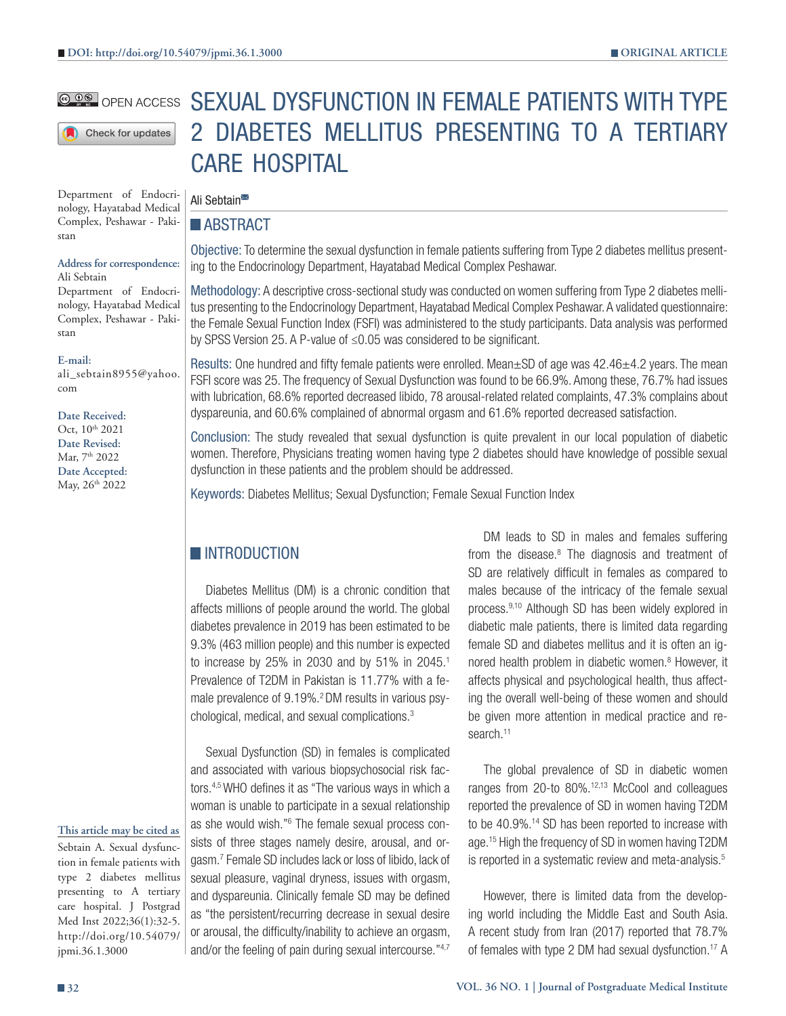#### **@ DO** OPEN ACCESS

Check for updates

Department of Endocrinology, Hayatabad Medical Complex, Peshawar - Pakistan

### **Address for correspondence:**

Ali Sebtain Department of Endocrinology, Hayatabad Medical Complex, Peshawar - Pakistan

**E-mail:**

ali\_sebtain8955@yahoo. com

#### **Date Received:**

Oct,  $10^{th}$  2021 **Date Revised:** Mar, 7<sup>th</sup> 2022 **Date Accepted:** May, 26<sup>th</sup> 2022

# SEXUAL DYSFUNCTION IN FEMALE PATIENTS WITH TYPE 2 DIABETES MELLITUS PRESENTING TO A TERTIARY CARE HOSPITAL

#### Ali Sebtain<sup>■</sup>

#### **ABSTRACT**

Objective: To determine the sexual dysfunction in female patients suffering from Type 2 diabetes mellitus presenting to the Endocrinology Department, Hayatabad Medical Complex Peshawar.

Methodology: A descriptive cross-sectional study was conducted on women suffering from Type 2 diabetes mellitus presenting to the Endocrinology Department, Hayatabad Medical Complex Peshawar. A validated questionnaire: the Female Sexual Function Index (FSFI) was administered to the study participants. Data analysis was performed by SPSS Version 25. A P-value of ≤0.05 was considered to be significant.

Results: One hundred and fifty female patients were enrolled. Mean±SD of age was 42.46±4.2 years. The mean FSFI score was 25. The frequency of Sexual Dysfunction was found to be 66.9%. Among these, 76.7% had issues with lubrication, 68.6% reported decreased libido, 78 arousal-related related complaints, 47.3% complains about dyspareunia, and 60.6% complained of abnormal orgasm and 61.6% reported decreased satisfaction.

Conclusion: The study revealed that sexual dysfunction is quite prevalent in our local population of diabetic women. Therefore, Physicians treating women having type 2 diabetes should have knowledge of possible sexual dysfunction in these patients and the problem should be addressed.

Keywords: Diabetes Mellitus; Sexual Dysfunction; Female Sexual Function Index

# **INTRODUCTION**

Diabetes Mellitus (DM) is a chronic condition that affects millions of people around the world. The global diabetes prevalence in 2019 has been estimated to be 9.3% (463 million people) and this number is expected to increase by 25% in 2030 and by 51% in 2045.<sup>1</sup> Prevalence of T2DM in Pakistan is 11.77% with a female prevalence of 9.19%.<sup>2</sup> DM results in various psychological, medical, and sexual complications.3

Sexual Dysfunction (SD) in females is complicated and associated with various biopsychosocial risk factors.4,5 WHO defines it as "The various ways in which a woman is unable to participate in a sexual relationship as she would wish."<sup>6</sup> The female sexual process consists of three stages namely desire, arousal, and orgasm.7 Female SD includes lack or loss of libido, lack of sexual pleasure, vaginal dryness, issues with orgasm, and dyspareunia. Clinically female SD may be defined as "the persistent/recurring decrease in sexual desire or arousal, the difficulty/inability to achieve an orgasm, and/or the feeling of pain during sexual intercourse."4,7

DM leads to SD in males and females suffering from the disease.<sup>8</sup> The diagnosis and treatment of SD are relatively difficult in females as compared to males because of the intricacy of the female sexual process.9,10 Although SD has been widely explored in diabetic male patients, there is limited data regarding female SD and diabetes mellitus and it is often an ignored health problem in diabetic women.<sup>8</sup> However, it affects physical and psychological health, thus affecting the overall well-being of these women and should be given more attention in medical practice and research.<sup>11</sup>

The global prevalence of SD in diabetic women ranges from 20-to 80%.12,13 McCool and colleagues reported the prevalence of SD in women having T2DM to be 40.9%.<sup>14</sup> SD has been reported to increase with age.<sup>15</sup> High the frequency of SD in women having T2DM is reported in a systematic review and meta-analysis.<sup>5</sup>

However, there is limited data from the developing world including the Middle East and South Asia. A recent study from Iran (2017) reported that 78.7% of females with type 2 DM had sexual dysfunction.17 A

jpmi.36.1.3000

**This article may be cited as** Sebtain A. Sexual dysfunction in female patients with type 2 diabetes mellitus presenting to A tertiary care hospital. J Postgrad Med Inst 2022;36(1):32-5. http://doi.org/10.54079/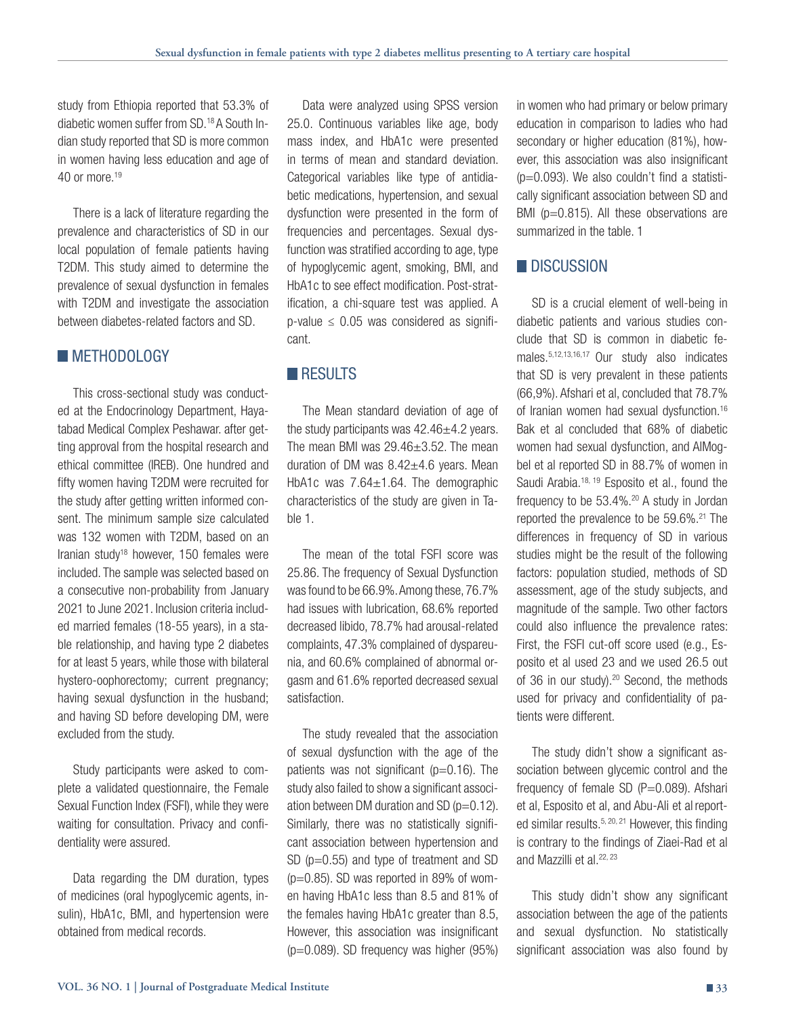study from Ethiopia reported that 53.3% of diabetic women suffer from SD.18 A South Indian study reported that SD is more common in women having less education and age of 40 or more. $19$ 

There is a lack of literature regarding the prevalence and characteristics of SD in our local population of female patients having T2DM. This study aimed to determine the prevalence of sexual dysfunction in females with T2DM and investigate the association between diabetes-related factors and SD.

### **METHODOLOGY**

This cross-sectional study was conducted at the Endocrinology Department, Hayatabad Medical Complex Peshawar. after getting approval from the hospital research and ethical committee (IREB). One hundred and fifty women having T2DM were recruited for the study after getting written informed consent. The minimum sample size calculated was 132 women with T2DM, based on an Iranian study<sup>18</sup> however,  $150$  females were included. The sample was selected based on a consecutive non-probability from January 2021 to June 2021. Inclusion criteria included married females (18-55 years), in a stable relationship, and having type 2 diabetes for at least 5 years, while those with bilateral hystero-oophorectomy; current pregnancy; having sexual dysfunction in the husband; and having SD before developing DM, were excluded from the study.

Study participants were asked to complete a validated questionnaire, the Female Sexual Function Index (FSFI), while they were waiting for consultation. Privacy and confidentiality were assured.

Data regarding the DM duration, types of medicines (oral hypoglycemic agents, insulin), HbA1c, BMI, and hypertension were obtained from medical records.

Data were analyzed using SPSS version 25.0. Continuous variables like age, body mass index, and HbA1c were presented in terms of mean and standard deviation. Categorical variables like type of antidiabetic medications, hypertension, and sexual dysfunction were presented in the form of frequencies and percentages. Sexual dysfunction was stratified according to age, type of hypoglycemic agent, smoking, BMI, and HbA1c to see effect modification. Post-stratification, a chi-square test was applied. A  $p$ -value  $\leq$  0.05 was considered as significant.

## **RESULTS**

The Mean standard deviation of age of the study participants was  $42.46 \pm 4.2$  years. The mean BMI was 29.46±3.52. The mean duration of DM was  $8.42\pm4.6$  years. Mean HbA1c was  $7.64 \pm 1.64$ . The demographic characteristics of the study are given in Table 1.

The mean of the total FSFI score was 25.86. The frequency of Sexual Dysfunction was found to be 66.9%. Among these, 76.7% had issues with lubrication, 68.6% reported decreased libido, 78.7% had arousal-related complaints, 47.3% complained of dyspareunia, and 60.6% complained of abnormal orgasm and 61.6% reported decreased sexual satisfaction.

The study revealed that the association of sexual dysfunction with the age of the patients was not significant ( $p=0.16$ ). The study also failed to show a significant association between DM duration and SD  $(p=0.12)$ . Similarly, there was no statistically significant association between hypertension and SD ( $p=0.55$ ) and type of treatment and SD  $(p=0.85)$ . SD was reported in 89% of women having HbA1c less than 8.5 and 81% of the females having HbA1c greater than 8.5, However, this association was insignificant  $(p=0.089)$ . SD frequency was higher  $(95%)$ 

in women who had primary or below primary education in comparison to ladies who had secondary or higher education (81%), however, this association was also insignificant  $(p=0.093)$ . We also couldn't find a statistically significant association between SD and BMI ( $p=0.815$ ). All these observations are summarized in the table. 1

## **DISCUSSION**

SD is a crucial element of well-being in diabetic patients and various studies conclude that SD is common in diabetic females.5,12,13,16,17 Our study also indicates that SD is very prevalent in these patients (66,9%). Afshari et al, concluded that 78.7% of Iranian women had sexual dysfunction.16 Bak et al concluded that 68% of diabetic women had sexual dysfunction, and AlMogbel et al reported SD in 88.7% of women in Saudi Arabia.<sup>18, 19</sup> Esposito et al., found the frequency to be  $53.4\%$ .<sup>20</sup> A study in Jordan reported the prevalence to be 59.6%.<sup>21</sup> The differences in frequency of SD in various studies might be the result of the following factors: population studied, methods of SD assessment, age of the study subjects, and magnitude of the sample. Two other factors could also influence the prevalence rates: First, the FSFI cut-off score used (e.g., Esposito et al used 23 and we used 26.5 out of 36 in our study).<sup>20</sup> Second, the methods used for privacy and confidentiality of patients were different.

The study didn't show a significant association between glycemic control and the frequency of female SD  $(P=0.089)$ . Afshari et al, Esposito et al, and Abu-Ali et al reported similar results.  $5, 20, 21$  However, this finding is contrary to the findings of Ziaei-Rad et al and Mazzilli et al.<sup>22, 23</sup>

This study didn't show any significant association between the age of the patients and sexual dysfunction. No statistically significant association was also found by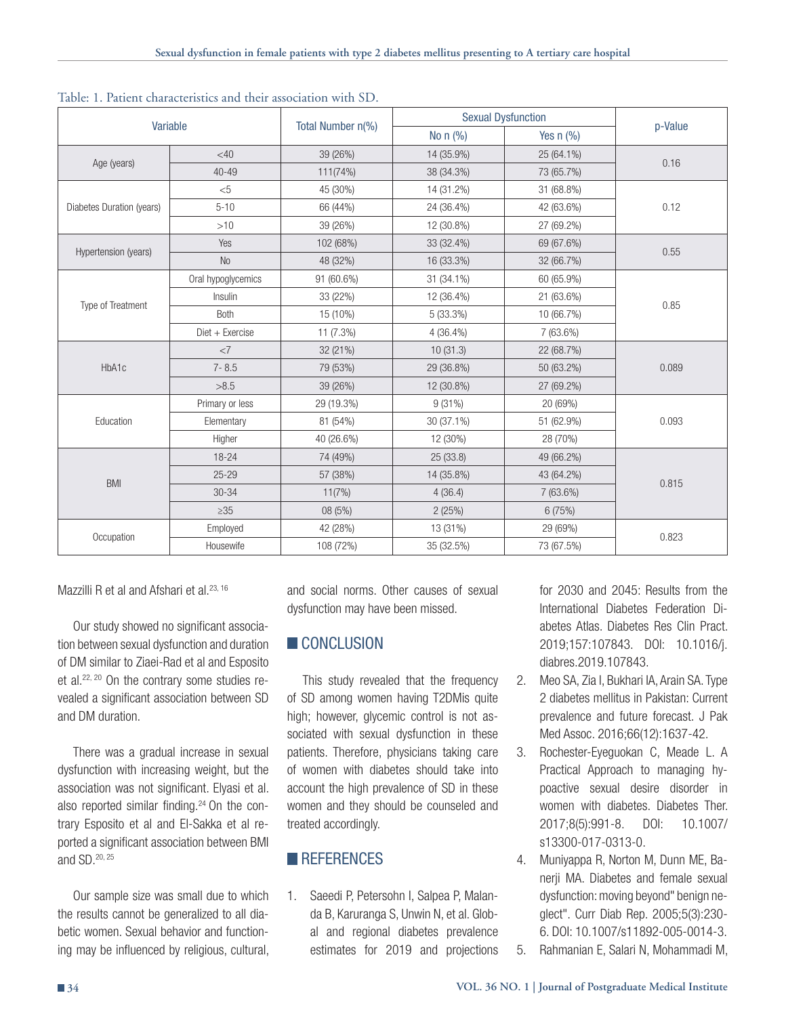| Variable                  |                    | Total Number n(%) | <b>Sexual Dysfunction</b> |                |         |
|---------------------------|--------------------|-------------------|---------------------------|----------------|---------|
|                           |                    |                   | No $n$ (%)                | Yes $n$ $(\%)$ | p-Value |
| Age (years)               | <40                | 39 (26%)          | 14 (35.9%)                | 25 (64.1%)     | 0.16    |
|                           | $40 - 49$          | 111(74%)          | 38 (34.3%)                | 73 (65.7%)     |         |
| Diabetes Duration (years) | $<$ 5              | 45 (30%)          | 14 (31.2%)                | 31 (68.8%)     | 0.12    |
|                           | $5 - 10$           | 66 (44%)          | 24 (36.4%)                | 42 (63.6%)     |         |
|                           | >10                | 39 (26%)          | 12 (30.8%)                | 27 (69.2%)     |         |
| Hypertension (years)      | Yes                | 102 (68%)         | 33 (32.4%)                | 69 (67.6%)     | 0.55    |
|                           | <b>No</b>          | 48 (32%)          | 16 (33.3%)                | 32 (66.7%)     |         |
| Type of Treatment         | Oral hypoglycemics | 91 (60.6%)        | 31 (34.1%)                | 60 (65.9%)     | 0.85    |
|                           | Insulin            | 33 (22%)          | 12 (36.4%)                | 21 (63.6%)     |         |
|                           | Both               | 15 (10%)          | 5(33.3%)                  | 10 (66.7%)     |         |
|                           | Diet + Exercise    | 11 (7.3%)         | $4(36.4\%)$               | 7 (63.6%)      |         |
| HbA1c                     | <7                 | 32 (21%)          | 10(31.3)                  | 22 (68.7%)     | 0.089   |
|                           | $7 - 8.5$          | 79 (53%)          | 29 (36.8%)                | 50 (63.2%)     |         |
|                           | >8.5               | 39 (26%)          | 12 (30.8%)                | 27 (69.2%)     |         |
| Education                 | Primary or less    | 29 (19.3%)        | 9(31%)                    | 20 (69%)       | 0.093   |
|                           | Elementary         | 81 (54%)          | 30 (37.1%)                | 51 (62.9%)     |         |
|                           | Higher             | 40 (26.6%)        | 12 (30%)                  | 28 (70%)       |         |
| <b>BMI</b>                | $18 - 24$          | 74 (49%)          | 25 (33.8)                 | 49 (66.2%)     | 0.815   |
|                           | $25 - 29$          | 57 (38%)          | 14 (35.8%)                | 43 (64.2%)     |         |
|                           | 30-34              | 11(7%)            | 4(36.4)                   | 7 (63.6%)      |         |
|                           | $\geq 35$          | 08 (5%)           | 2(25%)                    | 6 (75%)        |         |
| Occupation                | Employed           | 42 (28%)          | 13 (31%)                  | 29 (69%)       | 0.823   |
|                           | Housewife          | 108 (72%)         | 35 (32.5%)                | 73 (67.5%)     |         |

Table: 1. Patient characteristics and their association with SD.

Mazzilli R et al and Afshari et al.<sup>23, 16</sup>

Our study showed no significant association between sexual dysfunction and duration of DM similar to Ziaei-Rad et al and Esposito et al.<sup>22, 20</sup> On the contrary some studies revealed a significant association between SD and DM duration.

There was a gradual increase in sexual dysfunction with increasing weight, but the association was not significant. Elyasi et al. also reported similar finding.<sup>24</sup> On the contrary Esposito et al and El-Sakka et al reported a significant association between BMI and SD.20, 25

Our sample size was small due to which the results cannot be generalized to all diabetic women. Sexual behavior and functioning may be influenced by religious, cultural, and social norms. Other causes of sexual dysfunction may have been missed.

# **CONCLUSION**

This study revealed that the frequency of SD among women having T2DMis quite high; however, glycemic control is not associated with sexual dysfunction in these patients. Therefore, physicians taking care of women with diabetes should take into account the high prevalence of SD in these women and they should be counseled and treated accordingly.

# **REFERENCES**

1. Saeedi P, Petersohn I, Salpea P, Malanda B, Karuranga S, Unwin N, et al. Global and regional diabetes prevalence estimates for 2019 and projections for 2030 and 2045: Results from the International Diabetes Federation Diabetes Atlas. Diabetes Res Clin Pract. 2019;157:107843. DOI: 10.1016/j. diabres.2019.107843.

- 2. Meo SA, Zia I, Bukhari IA, Arain SA. Type 2 diabetes mellitus in Pakistan: Current prevalence and future forecast. J Pak Med Assoc. 2016;66(12):1637-42.
- 3. Rochester-Eyeguokan C, Meade L. A Practical Approach to managing hypoactive sexual desire disorder in women with diabetes. Diabetes Ther. 2017;8(5):991-8. DOI: 10.1007/ s13300-017-0313-0.
- 4. Muniyappa R, Norton M, Dunn ME, Banerji MA. Diabetes and female sexual dysfunction: moving beyond" benign neglect". Curr Diab Rep. 2005;5(3):230- 6. DOI: 10.1007/s11892-005-0014-3.
- 5. Rahmanian E, Salari N, Mohammadi M,